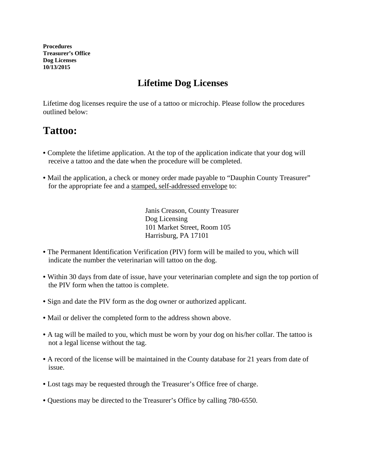**Procedures Treasurer's Office Dog Licenses 10/13/2015** 

## **Lifetime Dog Licenses**

Lifetime dog licenses require the use of a tattoo or microchip. Please follow the procedures outlined below:

## **Tattoo:**

- Complete the lifetime application. At the top of the application indicate that your dog will receive a tattoo and the date when the procedure will be completed.
- Mail the application, a check or money order made payable to "Dauphin County Treasurer" for the appropriate fee and a stamped, self-addressed envelope to:

Janis Creason, County Treasurer Dog Licensing 101 Market Street, Room 105 Harrisburg, PA 17101

- The Permanent Identification Verification (PIV) form will be mailed to you, which will indicate the number the veterinarian will tattoo on the dog.
- Within 30 days from date of issue, have your veterinarian complete and sign the top portion of the PIV form when the tattoo is complete.
- Sign and date the PIV form as the dog owner or authorized applicant.
- Mail or deliver the completed form to the address shown above.
- A tag will be mailed to you, which must be worn by your dog on his/her collar. The tattoo is not a legal license without the tag.
- A record of the license will be maintained in the County database for 21 years from date of issue.
- Lost tags may be requested through the Treasurer's Office free of charge.
- Questions may be directed to the Treasurer's Office by calling 780-6550.